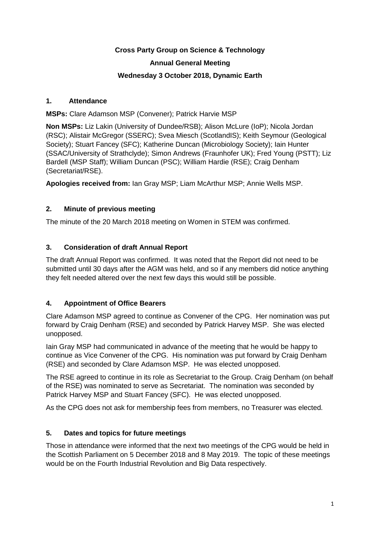# **Cross Party Group on Science & Technology Annual General Meeting**

#### **Wednesday 3 October 2018, Dynamic Earth**

#### **1. Attendance**

**MSPs:** Clare Adamson MSP (Convener); Patrick Harvie MSP

**Non MSPs:** Liz Lakin (University of Dundee/RSB); Alison McLure (IoP); Nicola Jordan (RSC); Alistair McGregor (SSERC); Svea Miesch (ScotlandIS); Keith Seymour (Geological Society); Stuart Fancey (SFC); Katherine Duncan (Microbiology Society); Iain Hunter (SSAC/University of Strathclyde); Simon Andrews (Fraunhofer UK); Fred Young (PSTT); Liz Bardell (MSP Staff); William Duncan (PSC); William Hardie (RSE); Craig Denham (Secretariat/RSE).

**Apologies received from:** Ian Gray MSP; Liam McArthur MSP; Annie Wells MSP.

# **2. Minute of previous meeting**

The minute of the 20 March 2018 meeting on Women in STEM was confirmed.

# **3. Consideration of draft Annual Report**

The draft Annual Report was confirmed. It was noted that the Report did not need to be submitted until 30 days after the AGM was held, and so if any members did notice anything they felt needed altered over the next few days this would still be possible.

# **4. Appointment of Office Bearers**

Clare Adamson MSP agreed to continue as Convener of the CPG. Her nomination was put forward by Craig Denham (RSE) and seconded by Patrick Harvey MSP. She was elected unopposed.

Iain Gray MSP had communicated in advance of the meeting that he would be happy to continue as Vice Convener of the CPG. His nomination was put forward by Craig Denham (RSE) and seconded by Clare Adamson MSP. He was elected unopposed.

The RSE agreed to continue in its role as Secretariat to the Group. Craig Denham (on behalf of the RSE) was nominated to serve as Secretariat. The nomination was seconded by Patrick Harvey MSP and Stuart Fancey (SFC). He was elected unopposed.

As the CPG does not ask for membership fees from members, no Treasurer was elected.

# **5. Dates and topics for future meetings**

Those in attendance were informed that the next two meetings of the CPG would be held in the Scottish Parliament on 5 December 2018 and 8 May 2019. The topic of these meetings would be on the Fourth Industrial Revolution and Big Data respectively.